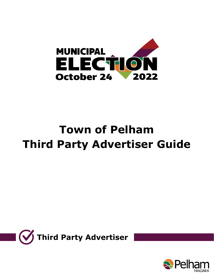

# **Town of Pelham Third Party Advertiser Guide**



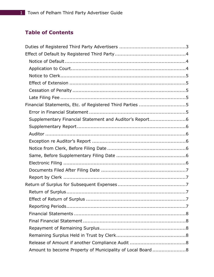# **Table of Contents**

| Financial Statements, Etc. of Registered Third Parties 5   |  |
|------------------------------------------------------------|--|
|                                                            |  |
|                                                            |  |
|                                                            |  |
|                                                            |  |
|                                                            |  |
|                                                            |  |
|                                                            |  |
|                                                            |  |
|                                                            |  |
|                                                            |  |
|                                                            |  |
|                                                            |  |
|                                                            |  |
|                                                            |  |
|                                                            |  |
|                                                            |  |
|                                                            |  |
|                                                            |  |
|                                                            |  |
| Amount to become Property of Municipality of Local Board 8 |  |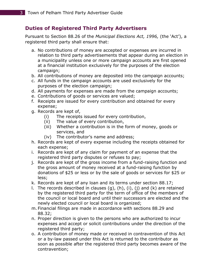# <span id="page-3-0"></span>**Duties of Registered Third Party Advertisers**

Pursuant to Section 88.26 of the *Municipal Elections Act, 1996,* (the 'Act'), a registered third party shall ensure that:

- a. No contributions of money are accepted or expenses are incurred in relation to third party advertisements that appear during an election in a municipality unless one or more campaign accounts are first opened at a financial institution exclusively for the purposes of the election campaign;
- b. All contributions of money are deposited into the campaign accounts;
- c. All funds in the campaign accounts are used exclusively for the purposes of the election campaign;
- d. All payments for expenses are made from the campaign accounts;
- e. Contributions of goods or services are valued;
- f. Receipts are issued for every contribution and obtained for every expense;
- g. Records are kept of,
	- (i) The receipts issued for every contribution,
	- (ii) The value of every contribution,
	- (iii) Whether a contribution is in the form of money, goods or services, and
	- (iv) The contributor's name and address;
- h. Records are kept of every expense including the receipts obtained for each expense;
- i. Records are kept of any claim for payment of an expense that the registered third party disputes or refuses to pay;
- j. Records are kept of the gross income from a fund-raising function and the gross amount of money received at a fund-raising function by donations of \$25 or less or by the sale of goods or services for \$25 or less;
- k. Records are kept of any loan and its terms under section 88.17;
- 1. The records described in clauses  $(q)$ ,  $(h)$ ,  $(i)$ ,  $(j)$  and  $(k)$  are retained by the registered third party for the term of office of the members of the council or local board and until their successors are elected and the newly elected council or local board is organized;
- m. Financial filings are made in accordance with sections 88.29 and 88.32;
- n. Proper direction is given to the persons who are authorized to incur expenses and accept or solicit contributions under the direction of the registered third party;
- o. A contribution of money made or received in contravention of this Act or a by-law passed under this Act is returned to the contributor as soon as possible after the registered third party becomes aware of the contravention;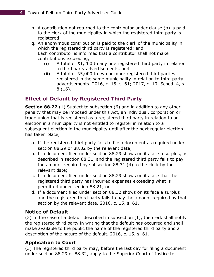- p. A contribution not returned to the contributor under clause (o) is paid to the clerk of the municipality in which the registered third party is registered;
- q. An anonymous contribution is paid to the clerk of the municipality in which the registered third party is registered; and
- r. Each contributor is informed that a contributor shall not make contributions exceeding,
	- (i) A total of \$1,200 to any one registered third party in relation to third party advertisements, and
	- (ii) A total of \$5,000 to two or more registered third parties registered in the same municipality in relation to third party advertisements. 2016, c. 15, s. 61; 2017, c. 10, Sched. 4, s. 8 (16).

# <span id="page-4-0"></span>**Effect of Default by Registered Third Party**

**Section 88.27** (1) Subject to subsection (6) and in addition to any other penalty that may be imposed under this Act, an individual, corporation or trade union that is registered as a registered third party in relation to an election in a municipality is not entitled to register in relation to a subsequent election in the municipality until after the next regular election has taken place,

- a. If the registered third party fails to file a document as required under section 88.29 or 88.32 by the relevant date;
- b. If a document filed under section 88.29 shows on its face a surplus, as described in section 88.31, and the registered third party fails to pay the amount required by subsection 88.31 (4) to the clerk by the relevant date;
- c. If a document filed under section 88.29 shows on its face that the registered third party has incurred expenses exceeding what is permitted under section 88.21; or
- d. If a document filed under section 88.32 shows on its face a surplus and the registered third party fails to pay the amount required by that section by the relevant date. 2016, c. 15, s. 61.

# <span id="page-4-1"></span>**Notice of Default**

(2) In the case of a default described in subsection (1), the clerk shall notify the registered third party in writing that the default has occurred and shall make available to the public the name of the registered third party and a description of the nature of the default. 2016, c. 15, s. 61.

# <span id="page-4-2"></span>**Application to Court**

(3) The registered third party may, before the last day for filing a document under section 88.29 or 88.32, apply to the Superior Court of Justice to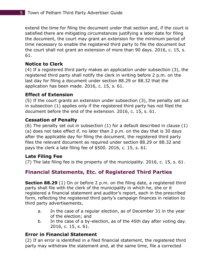extend the time for filing the document under that section and, if the court is satisfied there are mitigating circumstances justifying a later date for filing the document, the court may grant an extension for the minimum period of time necessary to enable the registered third party to file the document but the court shall not grant an extension of more than 90 days. 2016, c. 15, s. 61.

## <span id="page-5-0"></span>**Notice to Clerk**

(4) If a registered third party makes an application under subsection (3), the registered third party shall notify the clerk in writing before 2 p.m. on the last day for filing a document under section 88.29 or 88.32 that the application has been made. 2016, c. 15, s. 61.

#### <span id="page-5-1"></span>**Effect of Extension**

(5) If the court grants an extension under subsection (3), the penalty set out in subsection (1) applies only if the registered third party has not filed the document before the end of the extension. 2016, c. 15, s. 61.

#### <span id="page-5-2"></span>**Cessation of Penalty**

(6) The penalty set out in subsection (1) for a default described in clause (1) (a) does not take effect if, no later than 2 p.m. on the day that is 30 days after the applicable day for filing the document, the registered third party files the relevant document as required under section 88.29 or 88.32 and pays the clerk a late filing fee of \$500. 2016, c. 15, s. 61.

#### <span id="page-5-3"></span>**Late Filing Fee**

(7) The late filing fee is the property of the municipality. 2016, c. 15, s. 61.

# <span id="page-5-4"></span>**Financial Statements, Etc. of Registered Third Parties**

**Section 88.29** (1) On or before 2 p.m. on the filing date, a registered third party shall file with the clerk of the municipality in which he, she or it registered a financial statement and auditor's report, each in the prescribed form, reflecting the registered third party's campaign finances in relation to third party advertisements,

- a. In the case of a regular election, as of December 31 in the year of the election; and
- b. In the case of a by-election, as of the 45th day after voting day. 2016, c. 15, s. 61.

## <span id="page-5-5"></span>**Error in Financial Statement**

(2) If an error is identified in a filed financial statement, the registered third party may withdraw the statement and, at the same time, file a corrected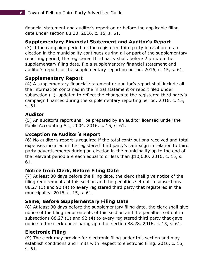financial statement and auditor's report on or before the applicable filing date under section 88.30. 2016, c. 15, s. 61.

## <span id="page-6-0"></span>**Supplementary Financial Statement and Auditor's Report**

(3) If the campaign period for the registered third party in relation to an election in the municipality continues during all or part of the supplementary reporting period, the registered third party shall, before 2 p.m. on the supplementary filing date, file a supplementary financial statement and auditor's report for the supplementary reporting period. 2016, c. 15, s. 61.

# <span id="page-6-1"></span>**Supplementary Report**

(4) A supplementary financial statement or auditor's report shall include all the information contained in the initial statement or report filed under subsection (1), updated to reflect the changes to the registered third party's campaign finances during the supplementary reporting period. 2016, c. 15, s. 61.

## <span id="page-6-2"></span>**Auditor**

(5) An auditor's report shall be prepared by an auditor licensed under the Public Accounting Act, 2004. 2016, c. 15, s. 61.

# <span id="page-6-3"></span>**Exception re Auditor's Report**

(6) No auditor's report is required if the total contributions received and total expenses incurred in the registered third party's campaign in relation to third party advertisements during an election in the municipality up to the end of the relevant period are each equal to or less than \$10,000. 2016, c. 15, s. 61.

# <span id="page-6-4"></span>**Notice from Clerk, Before Filing Date**

(7) At least 30 days before the filing date, the clerk shall give notice of the filing requirements of this section and the penalties set out in subsections 88.27 (1) and 92 (4) to every registered third party that registered in the municipality. 2016, c. 15, s. 61.

## <span id="page-6-5"></span>**Same, Before Supplementary Filing Date**

(8) At least 30 days before the supplementary filing date, the clerk shall give notice of the filing requirements of this section and the penalties set out in subsections 88.27 (1) and 92 (4) to every registered third party that gave notice to the clerk under paragraph 4 of section 88.28. 2016, c. 15, s. 61.

## <span id="page-6-6"></span>**Electronic Filing**

(9) The clerk may provide for electronic filing under this section and may establish conditions and limits with respect to electronic filing. 2016, c. 15, s. 61.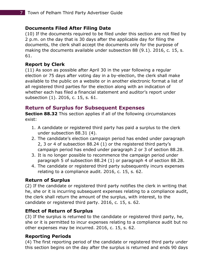#### <span id="page-7-0"></span>**Documents Filed After Filing Date**

(10) If the documents required to be filed under this section are not filed by 2 p.m. on the day that is 30 days after the applicable day for filing the documents, the clerk shall accept the documents only for the purpose of making the documents available under subsection 88 (9.1). 2016, c. 15, s. 61.

#### <span id="page-7-1"></span>**Report by Clerk**

(11) As soon as possible after April 30 in the year following a regular election or 75 days after voting day in a by-election, the clerk shall make available to the public on a website or in another electronic format a list of all registered third parties for the election along with an indication of whether each has filed a financial statement and auditor's report under subsection (1). 2016, c. 15, s. 61.

# <span id="page-7-2"></span>**Return of Surplus for Subsequent Expenses**

**Section 88.32** This section applies if all of the following circumstances exist:

- 1. A candidate or registered third party has paid a surplus to the clerk under subsection 88.31 (4).
- 2. The candidate's election campaign period has ended under paragraph 2, 3 or 4 of subsection 88.24 (1) or the registered third party's campaign period has ended under paragraph 2 or 3 of section 88.28.
- 3. It is no longer possible to recommence the campaign period under paragraph 5 of subsection 88.24 (1) or paragraph 4 of section 88.28.
- 4. The candidate or registered third party subsequently incurs expenses relating to a compliance audit. 2016, c. 15, s. 62.

## <span id="page-7-3"></span>**Return of Surplus**

(2) If the candidate or registered third party notifies the clerk in writing that he, she or it is incurring subsequent expenses relating to a compliance audit, the clerk shall return the amount of the surplus, with interest, to the candidate or registered third party. 2016, c. 15, s. 62.

## <span id="page-7-4"></span>**Effect of Return of Surplus**

(3) If the surplus is returned to the candidate or registered third party, he, she or it is permitted to incur expenses relating to a compliance audit but no other expenses may be incurred. 2016, c. 15, s. 62.

## <span id="page-7-5"></span>**Reporting Periods**

(4) The first reporting period of the candidate or registered third party under this section begins on the day after the surplus is returned and ends 90 days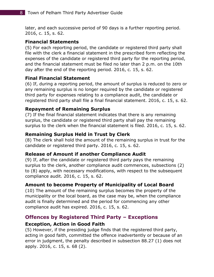later, and each successive period of 90 days is a further reporting period. 2016, c. 15, s. 62.

#### <span id="page-8-0"></span>**Financial Statements**

(5) For each reporting period, the candidate or registered third party shall file with the clerk a financial statement in the prescribed form reflecting the expenses of the candidate or registered third party for the reporting period, and the financial statement must be filed no later than 2 p.m. on the 10th day after the end of the reporting period. 2016, c. 15, s. 62.

#### <span id="page-8-1"></span>**Final Financial Statement**

(6) If, during a reporting period, the amount of surplus is reduced to zero or any remaining surplus is no longer required by the candidate or registered third party for expenses relating to a compliance audit, the candidate or registered third party shall file a final financial statement. 2016, c. 15, s. 62.

#### <span id="page-8-2"></span>**Repayment of Remaining Surplus**

(7) If the final financial statement indicates that there is any remaining surplus, the candidate or registered third party shall pay the remaining surplus to the clerk when the financial statement is filed. 2016, c. 15, s. 62.

#### <span id="page-8-3"></span>**Remaining Surplus Held in Trust by Clerk**

(8) The clerk shall hold the amount of the remaining surplus in trust for the candidate or registered third party. 2016, c. 15, s. 62.

#### <span id="page-8-4"></span>**Release of Amount if another Compliance Audit**

(9) If, after the candidate or registered third party pays the remaining surplus to the clerk, another compliance audit commences, subsections (2) to (8) apply, with necessary modifications, with respect to the subsequent compliance audit. 2016, c. 15, s. 62.

#### <span id="page-8-5"></span>**Amount to become Property of Municipality of Local Board**

(10) The amount of the remaining surplus becomes the property of the municipality or the local board, as the case may be, when the compliance audit is finally determined and the period for commencing any other compliance audit has expired. 2016, c. 15, s. 62.

## <span id="page-8-6"></span>**Offences by Registered Third Party – Exceptions**

#### <span id="page-8-7"></span>**Exception, Action in Good Faith**

(5) However, if the presiding judge finds that the registered third party, acting in good faith, committed the offence inadvertently or because of an error in judgment, the penalty described in subsection 88.27 (1) does not apply. 2016, c. 15, s. 68 (2).